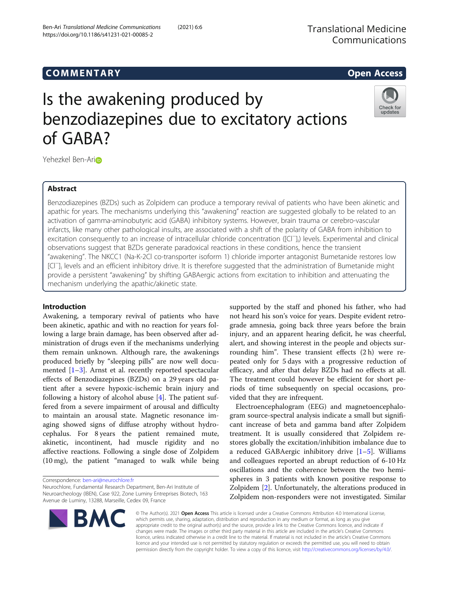# COMM EN TARY Open Access

# Is the awakening produced by benzodiazepines due to excitatory actions of GABA?



Yehezkel Ben-Ar[i](http://orcid.org/0000-0001-6208-8480)o

# Abstract

Benzodiazepines (BZDs) such as Zolpidem can produce a temporary revival of patients who have been akinetic and apathic for years. The mechanisms underlying this "awakening" reaction are suggested globally to be related to an activation of gamma-aminobutyric acid (GABA) inhibitory systems. However, brain trauma or cerebro-vascular infarcts, like many other pathological insults, are associated with a shift of the polarity of GABA from inhibition to excitation consequently to an increase of intracellular chloride concentration ([Cl<sup>−</sup>]<sub>i</sub>) levels. Experimental and clinical observations suggest that BZDs generate paradoxical reactions in these conditions, hence the transient "awakening". The NKCC1 (Na-K-2Cl co-transporter isoform 1) chloride importer antagonist Bumetanide restores low [Cl<sup>−</sup> ]i levels and an efficient inhibitory drive. It is therefore suggested that the administration of Bumetanide might provide a persistent "awakening" by shifting GABAergic actions from excitation to inhibition and attenuating the mechanism underlying the apathic/akinetic state.

# Introduction

Awakening, a temporary revival of patients who have been akinetic, apathic and with no reaction for years following a large brain damage, has been observed after administration of drugs even if the mechanisms underlying them remain unknown. Although rare, the awakenings produced briefly by "sleeping pills" are now well documented [\[1](#page-3-0)–[3](#page-3-0)]. Arnst et al. recently reported spectacular effects of Benzodiazepines (BZDs) on a 29 years old patient after a severe hypoxic-ischemic brain injury and following a history of alcohol abuse [\[4](#page-3-0)]. The patient suffered from a severe impairment of arousal and difficulty to maintain an arousal state. Magnetic resonance imaging showed signs of diffuse atrophy without hydrocephalus. For 8 years the patient remained mute, akinetic, incontinent, had muscle rigidity and no affective reactions. Following a single dose of Zolpidem (10 mg), the patient "managed to walk while being

Correspondence: [ben-ari@neurochlore.fr](mailto:ben-ari@neurochlore.fr)

Neurochlore, Fundamental Research Department, Ben-Ari Institute of Neuroarcheology (IBEN), Case 922, Zone Luminy Entreprises Biotech, 163 Avenue de Luminy, 13288, Marseille, Cedex 09, France

supported by the staff and phoned his father, who had not heard his son's voice for years. Despite evident retrograde amnesia, going back three years before the brain injury, and an apparent hearing deficit, he was cheerful, alert, and showing interest in the people and objects surrounding him". These transient effects (2 h) were repeated only for 5 days with a progressive reduction of efficacy, and after that delay BZDs had no effects at all. The treatment could however be efficient for short periods of time subsequently on special occasions, provided that they are infrequent.

Electroencephalogram (EEG) and magnetoencephalogram source-spectral analysis indicate a small but significant increase of beta and gamma band after Zolpidem treatment. It is usually considered that Zolpidem restores globally the excitation/inhibition imbalance due to a reduced GABAergic inhibitory drive  $[1-5]$  $[1-5]$  $[1-5]$ . Williams and colleagues reported an abrupt reduction of 6-10 Hz oscillations and the coherence between the two hemispheres in 3 patients with known positive response to Zolpidem [[2](#page-3-0)]. Unfortunately, the alterations produced in Zolpidem non-responders were not investigated. Similar

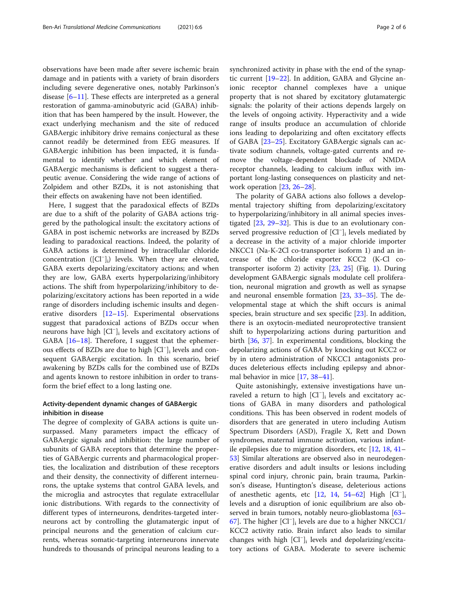observations have been made after severe ischemic brain damage and in patients with a variety of brain disorders including severe degenerative ones, notably Parkinson's disease  $[6-11]$  $[6-11]$  $[6-11]$  $[6-11]$  $[6-11]$ . These effects are interpreted as a general restoration of gamma-aminobutyric acid (GABA) inhibition that has been hampered by the insult. However, the exact underlying mechanism and the site of reduced GABAergic inhibitory drive remains conjectural as these cannot readily be determined from EEG measures. If GABAergic inhibition has been impacted, it is fundamental to identify whether and which element of GABAergic mechanisms is deficient to suggest a therapeutic avenue. Considering the wide range of actions of Zolpidem and other BZDs, it is not astonishing that their effects on awakening have not been identified.

Here, I suggest that the paradoxical effects of BZDs are due to a shift of the polarity of GABA actions triggered by the pathological insult: the excitatory actions of GABA in post ischemic networks are increased by BZDs leading to paradoxical reactions. Indeed, the polarity of GABA actions is determined by intracellular chloride concentration ([Cl<sup>−</sup> ]i) levels. When they are elevated, GABA exerts depolarizing/excitatory actions; and when they are low, GABA exerts hyperpolarizing/inhibitory actions. The shift from hyperpolarizing/inhibitory to depolarizing/excitatory actions has been reported in a wide range of disorders including ischemic insults and degenerative disorders [\[12](#page-3-0)–[15\]](#page-3-0). Experimental observations suggest that paradoxical actions of BZDs occur when neurons have high [Cl<sup>−</sup> ]i levels and excitatory actions of GABA [[16](#page-4-0)–[18\]](#page-4-0). Therefore, I suggest that the ephemerous effects of BZDs are due to high [Cl<sup>−</sup> ]i levels and consequent GABAergic excitation. In this scenario, brief awakening by BZDs calls for the combined use of BZDs and agents known to restore inhibition in order to transform the brief effect to a long lasting one.

# Activity-dependent dynamic changes of GABAergic inhibition in disease

The degree of complexity of GABA actions is quite unsurpassed. Many parameters impact the efficacy of GABAergic signals and inhibition: the large number of subunits of GABA receptors that determine the properties of GABAergic currents and pharmacological properties, the localization and distribution of these receptors and their density, the connectivity of different interneurons, the uptake systems that control GABA levels, and the microglia and astrocytes that regulate extracellular ionic distributions. With regards to the connectivity of different types of interneurons, dendrites-targeted interneurons act by controlling the glutamatergic input of principal neurons and the generation of calcium currents, whereas somatic-targeting interneurons innervate hundreds to thousands of principal neurons leading to a synchronized activity in phase with the end of the synaptic current [\[19](#page-4-0)–[22\]](#page-4-0). In addition, GABA and Glycine anionic receptor channel complexes have a unique property that is not shared by excitatory glutamatergic signals: the polarity of their actions depends largely on the levels of ongoing activity. Hyperactivity and a wide range of insults produce an accumulation of chloride ions leading to depolarizing and often excitatory effects of GABA [\[23](#page-4-0)–[25](#page-4-0)]. Excitatory GABAergic signals can activate sodium channels, voltage-gated currents and remove the voltage-dependent blockade of NMDA receptor channels, leading to calcium influx with important long-lasting consequences on plasticity and network operation [\[23](#page-4-0), [26](#page-4-0)–[28\]](#page-4-0).

The polarity of GABA actions also follows a developmental trajectory shifting from depolarizing/excitatory to hyperpolarizing/inhibitory in all animal species investigated [\[23](#page-4-0), [29](#page-4-0)–[32](#page-4-0)]. This is due to an evolutionary conserved progressive reduction of [Cl<sup>−</sup>]<sub>i</sub> levels mediated by a decrease in the activity of a major chloride importer NKCC1 (Na-K-2Cl co-transporter isoform 1) and an increase of the chloride exporter KCC2 (K-Cl cotransporter isoform 2) activity [\[23](#page-4-0), [25\]](#page-4-0) (Fig. [1](#page-2-0)). During development GABAergic signals modulate cell proliferation, neuronal migration and growth as well as synapse and neuronal ensemble formation [\[23,](#page-4-0) [33](#page-4-0)–[35\]](#page-4-0). The developmental stage at which the shift occurs is animal species, brain structure and sex specific [[23\]](#page-4-0). In addition, there is an oxytocin-mediated neuroprotective transient shift to hyperpolarizing actions during parturition and birth [[36,](#page-4-0) [37\]](#page-4-0). In experimental conditions, blocking the depolarizing actions of GABA by knocking out KCC2 or by in utero administration of NKCC1 antagonists produces deleterious effects including epilepsy and abnormal behavior in mice [\[17](#page-4-0), [38](#page-4-0)–[41\]](#page-4-0).

Quite astonishingly, extensive investigations have unraveled a return to high [Cl<sup>−</sup> ]i levels and excitatory actions of GABA in many disorders and pathological conditions. This has been observed in rodent models of disorders that are generated in utero including Autism Spectrum Disorders (ASD), Fragile X, Rett and Down syndromes, maternal immune activation, various infantile epilepsies due to migration disorders, etc [[12](#page-3-0), [18,](#page-4-0) [41](#page-4-0)– [53\]](#page-4-0) Similar alterations are observed also in neurodegenerative disorders and adult insults or lesions including spinal cord injury, chronic pain, brain trauma, Parkinson's disease, Huntington's disease, deleterious actions of anesthetic agents, etc [\[12](#page-3-0), [14](#page-3-0), [54](#page-4-0)-[62\]](#page-4-0) High [Cl<sup>−</sup>]<sub>i</sub> levels and a disruption of ionic equilibrium are also observed in brain tumors, notably neuro-glioblastoma [[63](#page-4-0)– [67\]](#page-4-0). The higher [Cl<sup>−</sup> ]i levels are due to a higher NKCC1/ KCC2 activity ratio. Brain infarct also leads to similar changes with high [Cl<sup>−</sup> ]i levels and depolarizing/excitatory actions of GABA. Moderate to severe ischemic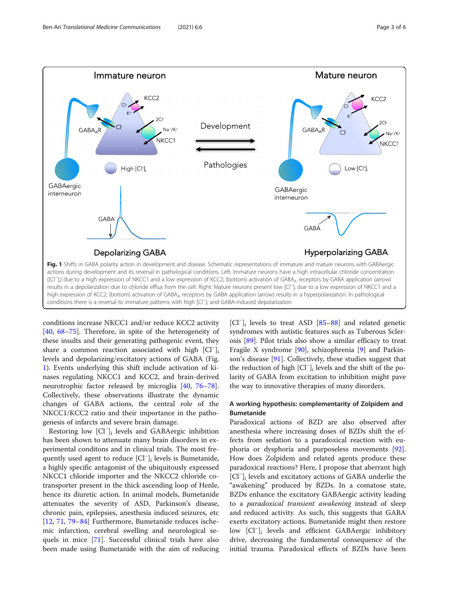<span id="page-2-0"></span>

conditions increase NKCC1 and/or reduce KCC2 activity [[40,](#page-4-0) [68](#page-4-0)–[75\]](#page-5-0). Therefore, in spite of the heterogeneity of these insults and their generating pathogenic event, they share a common reaction associated with high [Cl<sup>-</sup>]<sub>i</sub> levels and depolarizing/excitatory actions of GABA (Fig. 1). Events underlying this shift include activation of kinases regulating NKCC1 and KCC2, and brain-derived neurotrophic factor released by microglia [[40](#page-4-0), [76](#page-5-0)–[78](#page-5-0)]. Collectively, these observations illustrate the dynamic changes of GABA actions, the central role of the NKCC1/KCC2 ratio and their importance in the pathogenesis of infarcts and severe brain damage.

Restoring low [Cl<sup>−</sup> ]i levels and GABAergic inhibition has been shown to attenuate many brain disorders in experimental conditons and in clinical trials. The most frequently used agent to reduce [Cl<sup>−</sup> ]i levels is Bumetanide, a highly specific antagonist of the ubiquitously expressed NKCC1 chloride importer and the NKCC2 chloride cotransporter present in the thick ascending loop of Henle, hence its diuretic action. In animal models, Bumetanide attenuates the severity of ASD, Parkinson's disease, chronic pain, epilepsies, anesthesia induced seizures, etc [[12,](#page-3-0) [71,](#page-4-0) [79](#page-5-0)–[84\]](#page-5-0) Furthermore, Bumetanide reduces ischemic infarction, cerebral swelling and neurological sequels in mice [\[71](#page-4-0)]. Successful clinical trials have also been made using Bumetanide with the aim of reducing [Cl<sup>-</sup>]<sub>i</sub> levels to treat ASD [[85](#page-5-0)-[88\]](#page-5-0) and related genetic syndromes with autistic features such as Tuberous Sclerosis [[89](#page-5-0)]. Pilot trials also show a similar efficacy to treat Fragile X syndrome [\[90](#page-5-0)], schizophrenia [\[9](#page-3-0)] and Parkinson's disease [[91\]](#page-5-0). Collectively, these studies suggest that the reduction of high [Cl<sup>−</sup> ]i levels and the shift of the polarity of GABA from excitation to inhibition might pave the way to innovative therapies of many disorders.

# A working hypothesis: complementarity of Zolpidem and Bumetanide

Paradoxical actions of BZD are also observed after anesthesia where increasing doses of BZDs shift the effects from sedation to a paradoxical reaction with euphoria or dysphoria and purposeless movements [\[92](#page-5-0)]. How does Zolpidem and related agents produce these paradoxical reactions? Here, I propose that aberrant high [Cl<sup>−</sup> ]i levels and excitatory actions of GABA underlie the "awakening" produced by BZDs. In a comatose state, BZDs enhance the excitatory GABAergic activity leading to a paradoxical transient awakening instead of sleep and reduced activity. As such, this suggests that GABA exerts excitatory actions. Bumetanide might then restore low [Cl<sup>−</sup> ]i levels and efficient GABAergic inhibitory drive, decreasing the fundamental consequence of the initial trauma. Paradoxical effects of BZDs have been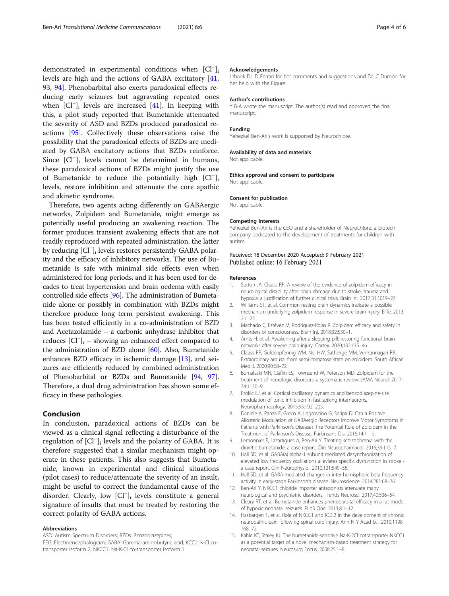<span id="page-3-0"></span>demonstrated in experimental conditions when [Cl<sup>−</sup>]<sub>i</sub> levels are high and the actions of GABA excitatory [[41](#page-4-0), [93,](#page-5-0) [94](#page-5-0)]. Phenobarbital also exerts paradoxical effects reducing early seizures but aggravating repeated ones when [Cl<sup>−</sup>]<sub>i</sub> levels are increased [[41\]](#page-4-0). In keeping with this, a pilot study reported that Bumetanide attenuated the severity of ASD and BZDs produced paradoxical reactions [[95](#page-5-0)]. Collectively these observations raise the possibility that the paradoxical effects of BZDs are mediated by GABA excitatory actions that BZDs reinforce. Since [Cl<sup>−</sup> ]i levels cannot be determined in humans, these paradoxical actions of BZDs might justify the use of Bumetanide to reduce the potantially high [Cl<sup>−</sup>]<sub>i</sub> levels, restore inhibition and attenuate the core apathic and akinetic syndrome.

Therefore, two agents acting differently on GABAergic networks, Zolpidem and Bumetanide, might emerge as potentially useful producing an awakening reaction. The former produces transient awakening effects that are not readily reproduced with repeated administration, the latter by reducing [Cl<sup>−</sup>]<sub>i</sub> levels restores persistently GABA polarity and the efficacy of inhibitory networks. The use of Bumetanide is safe with minimal side effects even when administered for long periods, and it has been used for decades to treat hypertension and brain oedema with easily controlled side effects [\[96\]](#page-5-0). The administration of Bumetanide alone or possibly in combination with BZDs might therefore produce long term persistent awakening. This has been tested efficiently in a co-administration of BZD and Acetazolamide – a carbonic anhydrase inhibitor that reduces [Cl<sup>−</sup> ]i – showing an enhanced effect compared to the administration of BZD alone [\[60](#page-4-0)]. Also, Bumetanide enhances BZD efficacy in ischemic damage [13], and seizures are efficiently reduced by combined administration of Phenobarbital or BZDs and Bumetanide [\[94,](#page-5-0) [97](#page-5-0)]. Therefore, a dual drug administration has shown some efficacy in these pathologies.

## Conclusion

In conclusion, paradoxical actions of BZDs can be viewed as a clinical signal reflecting a disturbance of the regulation of [Cl<sup>−</sup> ]i levels and the polarity of GABA. It is therefore suggested that a similar mechanism might operate in these patients. This also suggests that Bumetanide, known in experimental and clinical situations (pilot cases) to reduce/attenuate the severity of an insult, might be useful to correct the fundamental cause of the disorder. Clearly, low [Cl<sup>−</sup> ]i levels constitute a general signature of insults that must be treated by restoring the correct polarity of GABA actions.

#### Abbreviations

ASD: Autism Spectrum Disorders; BZDs: Benzodiazepines;

EEG: Electroencephalogram; GABA: Gamma-aminobutyric acid; KCC2: K-Cl cotransporter isoform 2; NKCC1: Na-K-Cl co-transporter isoform 1

#### Acknowledgements

I thank Dr. D Ferrari for her comments and suggestions and Dr. C Dumon for her help with the Figure.

#### Author's contributions

Y B-A wrote the manuscript. The author(s) read and approved the final manuscript.

### Funding

Yehezkel Ben-Ari's work is supported by Neurochlore.

#### Availability of data and materials

Not applicable.

#### Ethics approval and consent to participate Not applicable.

Consent for publication

Not applicable.

#### Competing interests

Yehezkel Ben-Ari is the CEO and a shareholder of Neurochlore, a biotech company dedicated to the development of treatments for children with autism.

#### Received: 18 December 2020 Accepted: 9 February 2021 Published online: 16 February 2021

#### References

- 1. Sutton JA, Clauss RP. A review of the evidence of zolpidem efficacy in neurological disability after brain damage due to stroke, trauma and hypoxia: a justification of further clinical trials. Brain Inj. 2017;31:1019–27.
- 2. Williams ST, et al. Common resting brain dynamics indicate a possible mechanism underlying zolpidem response in severe brain injury. Elife. 2013;  $2:1-22$ .
- 3. Machado C, Estévez M, Rodriguez-Rojas R. Zolpidem efficacy and safety in disorders of consciousness. Brain Inj. 2018;32:530–1.
- 4. Arnts H, et al. Awakening after a sleeping pill: restoring functional brain networks after severe brain injury. Cortex. 2020;132:135–46.
- 5. Clauss RP, Güldenpfennig WM, Nel HW, Sathekge MM, Venkannagari RR. Extraordinary arousal from semi-comatose state on zolpidem. South African Med J. 2000;90:68–72.
- 6. Bomalaski MN, Claflin ES, Townsend W, Peterson MD. Zolpidem for the treatment of neurologic disorders: a systematic review. JAMA Neurol. 2017; 74:1130–9.
- 7. Prokic EJ, et al. Cortical oscillatory dynamics and benzodiazepine-site modulation of tonic inhibition in fast spiking interneurons. Neuropharmacology. 2015;95:192–205.
- 8. Daniele A, Panza F, Greco A, Logroscino G, Seripa D. Can a Positive Allosteric Modulation of GABAergic Receptors Improve Motor Symptoms in Patients with Parkinson's Disease? The Potential Role of Zolpidem in the Treatment of Parkinson's Disease. Parkinsons Dis. 2016;14:1–15.
- Lemonnier E, Lazartigues A, Ben-Ari Y. Treating schizophrenia with the diuretic bumetanide: a case report. Clin Neuropharmacol. 2016;39:115–7.
- 10. Hall SD, et al. GABA(a) alpha-1 subunit mediated desynchronization of elevated low frequency oscillations alleviates specific dysfunction in stroke a case report. Clin Neurophysiol. 2010;121:549–55.
- 11. Hall SD, et al. GABA-mediated changes in inter-hemispheric beta frequency activity in early-stage Parkinson's disease. Neuroscience. 2014;281:68–76.
- 12. Ben-Ari Y. NKCC1 chloride importer antagonists attenuate many neurological and psychiatric disorders. Trends Neurosci. 2017;40:536–54.
- 13. Cleary RT, et al. Bumetanide enhances phenobarbital efficacy in a rat model of hypoxic neonatal seizures. PLoS One. 2013;8:1–12.
- 14. Hasbargen T, et al. Role of NKCC1 and KCC2 in the development of chronic neuropathic pain following spinal cord injury. Ann N Y Acad Sci. 2010;1198: 168–72.
- 15. Kahle KT, Staley KJ. The bumetanide-sensitive Na-K-2Cl cotransporter NKCC1 as a potential target of a novel mechanism-based treatment strategy for neonatal seizures. Neurosurg Focus. 2008;25:1–8.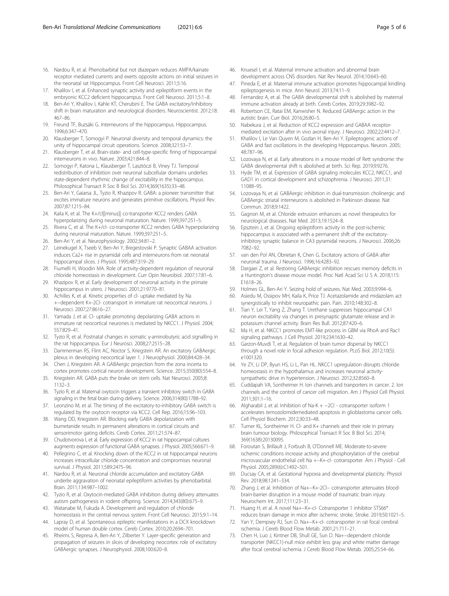- <span id="page-4-0"></span>16. Nardou R, et al. Phenobarbital but not diazepam reduces AMPA/kainate receptor mediated currents and exerts opposite actions on initial seizures in the neonatal rat Hippocampus. Front Cell Neurosci. 2011;5:16.
- 17. Khalilov I, et al. Enhanced synaptic activity and epileptiform events in the embryonic KCC2 deficient hippocampus. Front Cell Neurosci. 2011;5:1–8.
- 18. Ben-Ari Y, Khalilov I, Kahle KT, Cherubini E. The GABA excitatory/inhibitory shift in brain maturation and neurological disorders. Neuroscientist. 2012;18: 467–86.
- 19. Freund TF, Buzsáki G. Interneurons of the hippocampus. Hippocampus. 1996;6:347–470.
- 20. Klausberger T, Somogyi P. Neuronal diversity and temporal dynamics: the unity of hippocampal circuit operations. Science. 2008;321:53–7.
- 21. Klausberger T, et al. Brain-state- and cell-type-specific firing of hippocampal interneurons in vivo. Nature. 2003;421:844–8.
- 22. Somogyi P, Katona L, Klausberger T, Lasztóczi B, Viney TJ. Temporal redistribution of inhibition over neuronal subcellular domains underlies state-dependent rhythmic change of excitability in the hippocampus. Philosophical Transact R Soc B Biol Sci. 2014;369(1635):33–48.
- 23. Ben-Ari Y, Gaiarsa JL, Tyzio R, Khazipov R. GABA: a pioneer transmitter that excites immature neurons and generates primitive oscillations. Physiol Rev. 2007;87:1215–84.
- 24. Kaila K, et al. The K+/cl|[minus]| co-transporter KCC2 renders GABA hyperpolarizing during neuronal maturation. Nature. 1999;397:251–5.
- 25. Rivera C, et al. The K+/cl- co-transporter KCC2 renders GABA hyperpolarizing during neuronal maturation. Nature. 1999;397:251–5.
- 26. Ben-Ari Y, et al. Neurophysiology. 2002;34:81–2.
- 27. Leinekugel X, Tseeb V, Ben-Ari Y, Bregestovski P. Synaptic GABAA activation induces Ca2+ rise in pyramidal cells and interneurons from rat neonatal hippocampal slices. J Physiol. 1995;487:319–29.
- 28. Fiumelli H, Woodin MA. Role of activity-dependent regulation of neuronal chloride homeostasis in development. Curr Opin Neurobiol. 2007;17:81–6.
- 29. Khazipov R, et al. Early development of neuronal activity in the primate hippocampus in utero. J Neurosci. 2001;21:9770–81.
- 30. Achilles K, et al. Kinetic properties of cl- uptake mediated by Na +−dependent K+-2Cl- cotransport in immature rat neocortical neurons. J Neurosci. 2007;27:8616–27.
- 31. Yamada J, et al. Cl- uptake promoting depolarizing GABA actions in immature rat neocortical neurones is mediated by NKCC1. J Physiol. 2004; 557:829–41.
- 32. Tyzio R, et al. Postnatal changes in somatic γ-aminobutyric acid signalling in the rat hippocampus. Eur J Neurosci. 2008;27:2515–28.
- 33. Dammerman RS, Flint AC, Noctor S, Kriegstein AR. An excitatory GABAergic plexus in developing neocortical layer 1. J Neurophysiol. 2000;84:428–34.
- 34. Chen J, Kriegstein AR. A GABAergic projection from the zona incerta to cortex promotes cortical neuron development. Science. 2015;350(80):554–8.
- 35. Kriegstein AR. GABA puts the brake on stem cells. Nat Neurosci. 2005;8: 1132–3.
- 36. Tyzio R, et al. Maternal oxytocin triggers a transient inhibitory switch in GABA signaling in the fetal brain during delivery. Science. 2006;314(80):1788–92.
- 37. Leonzino M, et al. The timing of the excitatory-to-inhibitory GABA switch is regulated by the oxytocin receptor via KCC2. Cell Rep. 2016;15:96–103.
- 38. Wang DD, Kriegstein AR. Blocking early GABA depolarization with bumetanide results in permanent alterations in cortical circuits and sensorimotor gating deficits. Cereb Cortex. 2011;21:574–87.
- 39. Chudotvorova I, et al. Early expression of KCC2 in rat hippocampal cultures augments expression of functional GABA synapses. J Physiol. 2005;566:671–9.
- 40. Pellegrino C, et al. Knocking down of the KCC2 in rat hippocampal neurons increases intracellular chloride concentration and compromises neuronal survival. J Physiol. 2011;589:2475–96.
- 41. Nardou R, et al. Neuronal chloride accumulation and excitatory GABA underlie aggravation of neonatal epileptiform activities by phenobarbital. Brain. 2011;134:987–1002.
- 42. Tyzio R, et al. Oxytocin-mediated GABA inhibition during delivery attenuates autism pathogenesis in rodent offspring. Science. 2014;343(80):675–9.
- 43. Watanabe M, Fukuda A. Development and regulation of chloride homeostasis in the central nervous system. Front Cell Neurosci. 2015;9:1–14.
- 44. Lapray D, et al. Spontaneous epileptic manifestations in a DCX knockdown model of human double cortex. Cereb Cortex. 2010;20:2694–701.
- 45. Rheims S, Represa A, Ben-Ari Y, Zilberter Y. Layer-specific generation and propagation of seizures in slices of developing neocortex: role of excitatory GABAergic synapses. J Neurophysiol. 2008;100:620–8.
- 46. Knuesel I, et al. Maternal immune activation and abnormal brain development across CNS disorders. Nat Rev Neurol. 2014;10:643–60.
- 47. Pineda E, et al. Maternal immune activation promotes hippocampal kindling epileptogenesis in mice. Ann Neurol. 2013;74:11–9.
- 48. Fernandez A, et al. The GABA developmental shift is abolished by maternal immune activation already at birth. Cereb Cortex. 2019;29:3982–92.
- 49. Robertson CE, Ratai EM, Kanwisher N. Reduced GABAergic action in the autistic brain. Curr Biol. 2016;26:80–5.
- 50. Nabekura J, et al. Reduction of KCC2 expression and GABAA receptormediated excitation after in vivo axonal injury. J Neurosci. 2002;22:4412–7.
- 51. Khalilov I, Le Van Quyen M, Gozlan H, Ben-Ari Y. Epileptogenic actions of GABA and fast oscillations in the developing Hippocampus. Neuron. 2005; 48:787–96.
- 52. Lozovaya N, et al. Early alterations in a mouse model of Rett syndrome: the GABA developmental shift is abolished at birth. Sci Rep. 2019;9:9276.
- 53. Hyde TM, et al. Expression of GABA signaling molecules KCC2, NKCC1, and GAD1 in cortical development and schizophrenia. J Neurosci. 2011;31: 11088–95.
- 54. Lozovaya N, et al. GABAergic inhibition in dual-transmission cholinergic and GABAergic striatal interneurons is abolished in Parkinson disease. Nat Commun. 2018;9:1422.
- 55. Gagnon M, et al. Chloride extrusion enhancers as novel therapeutics for neurological diseases. Nat Med. 2013;19:1524–8.
- 56. Epsztein J, et al. Ongoing epileptiform activity in the post-ischemic hippocampus is associated with a permanent shift of the excitatoryinhibitory synaptic balance in CA3 pyramidal neurons. J Neurosci. 2006;26: 7082–92.
- 57. van den Pol AN, Obrietan K, Chen G. Excitatory actions of GABA after neuronal trauma. J Neurosci. 1996;16:4283–92.
- 58. Dargaei Z, et al. Restoring GABAergic inhibition rescues memory deficits in a Huntington's disease mouse model. Proc Natl Acad Sci U S A. 2018;115: E1618–26.
- 59. Holmes GL, Ben-Ari Y. Seizing hold of seizures. Nat Med. 2003;9:994–6.
- Asiedu M, Ossipov MH, Kaila K, Price TJ. Acetazolamide and midazolam act synergistically to inhibit neuropathic pain. Pain. 2010;148:302–8.
- 61. Tian Y, Lei T, Yang Z, Zhang T. Urethane suppresses hippocampal CA1 neuron excitability via changes in presynaptic glutamate release and in potassium channel activity. Brain Res Bull. 2012;87:420–6.
- 62. Ma H, et al. NKCC1 promotes EMT-like process in GBM via RhoA and Rac1 signaling pathways. J Cell Physiol. 2019;234:1630–42.
- 63. Garzon-Muvdi T, et al. Regulation of brain tumor dispersal by NKCC1 through a novel role in focal adhesion regulation. PLoS Biol. 2012;10(5): e1001320.
- 64. Ye ZY, Li DP, Byun HS, Li L, Pan HL. NKCC1 upregulation disrupts chloride homeostasis in the hypothalamus and increases neuronal activitysympathetic drive in hypertension. J Neurosci. 2012;32:8560–8.
- 65. Cuddapah VA, Sontheimer H. Ion channels and tranporters in cancer. 2. Ion channels and the control of cancer cell migration. Am J Physiol Cell Physiol. 2011;301:1–16.
- 66. Algharabil J, et al. Inhibition of Na-K + −2Cl cotransporter isoform 1 accelerates temozolomidemediated apoptosis in glioblastoma cancer cells. Cell Physiol Biochem. 2012;30:33–48.
- 67. Turner KL, Sontheimer H. Cl- and K+ channels and their role in primary brain tumour biology. Philosophical Transact R Soc B Biol Sci. 2014; 369(1638):20130095.
- 68. Foroutan S, Brillault J, Forbush B, O'Donnell ME. Moderate-to-severe ischemic conditions increase activity and phosphorylation of the cerebral microvascular endothelial cell Na +−K+-cl- cotransporter. Am J Physiol - Cell Physiol. 2005;289(6):C1492–501.
- 69. Ducsay CA, et al. Gestational hypoxia and developmental plasticity. Physiol Rev. 2018;98:1241–334.
- 70. Zhang J, et al. Inhibition of Na+−K+-2Cl− cotransporter attenuates bloodbrain-barrier disruption in a mouse model of traumatic brain injury. Neurochem Int. 2017;111:23–31.
- 71. Huang H, et al. A novel Na+−K+-cl- Cotransporter 1 inhibitor STS66\* reduces brain damage in mice after ischemic stroke. Stroke. 2019;50:1021–5.
- 72. Yan Y, Dempsey RJ, Sun D. Na+−K+-cl- cotransporter in rat focal cerebral ischemia. J Cereb Blood Flow Metab. 2001;21:711–21.
- 73. Chen H, Luo J, Kintner DB, Shull GE, Sun D. Na+−dependent chloride transporter (NKCC1)-null mice exhibit less gray and white matter damage after focal cerebral ischemia. J Cereb Blood Flow Metab. 2005;25:54–66.